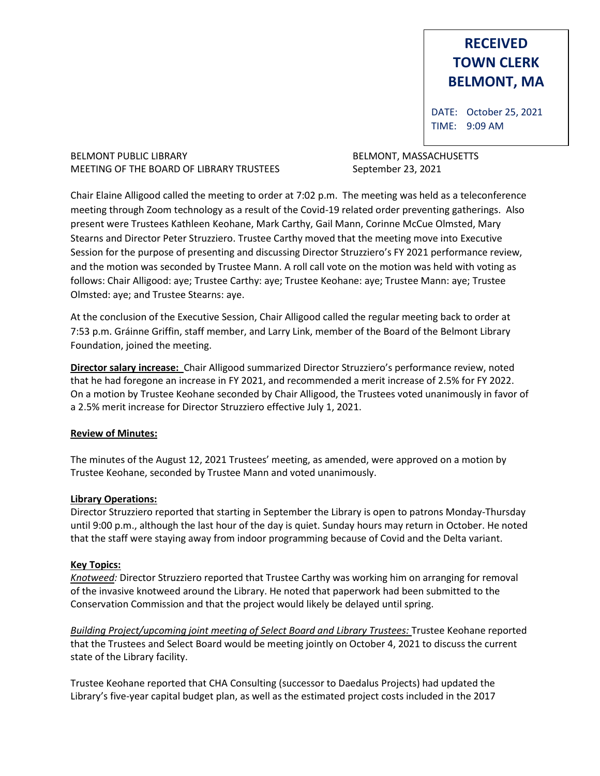# **RECEIVED TOWN CLERK BELMONT, MA**

DATE: October 25, 2021 TIME: 9:09 AM

## BELMONT PUBLIC LIBRARY **BELMONT, MASSACHUSETTS** MEETING OF THE BOARD OF LIBRARY TRUSTEES September 23, 2021

Chair Elaine Alligood called the meeting to order at 7:02 p.m. The meeting was held as a teleconference meeting through Zoom technology as a result of the Covid-19 related order preventing gatherings. Also present were Trustees Kathleen Keohane, Mark Carthy, Gail Mann, Corinne McCue Olmsted, Mary Stearns and Director Peter Struzziero. Trustee Carthy moved that the meeting move into Executive Session for the purpose of presenting and discussing Director Struzziero's FY 2021 performance review, and the motion was seconded by Trustee Mann. A roll call vote on the motion was held with voting as follows: Chair Alligood: aye; Trustee Carthy: aye; Trustee Keohane: aye; Trustee Mann: aye; Trustee Olmsted: aye; and Trustee Stearns: aye.

At the conclusion of the Executive Session, Chair Alligood called the regular meeting back to order at 7:53 p.m. Gráinne Griffin, staff member, and Larry Link, member of the Board of the Belmont Library Foundation, joined the meeting.

**Director salary increase:** Chair Alligood summarized Director Struzziero's performance review, noted that he had foregone an increase in FY 2021, and recommended a merit increase of 2.5% for FY 2022. On a motion by Trustee Keohane seconded by Chair Alligood, the Trustees voted unanimously in favor of a 2.5% merit increase for Director Struzziero effective July 1, 2021.

## **Review of Minutes:**

The minutes of the August 12, 2021 Trustees' meeting, as amended, were approved on a motion by Trustee Keohane, seconded by Trustee Mann and voted unanimously.

## **Library Operations:**

Director Struzziero reported that starting in September the Library is open to patrons Monday-Thursday until 9:00 p.m., although the last hour of the day is quiet. Sunday hours may return in October. He noted that the staff were staying away from indoor programming because of Covid and the Delta variant.

## **Key Topics:**

*Knotweed:* Director Struzziero reported that Trustee Carthy was working him on arranging for removal of the invasive knotweed around the Library. He noted that paperwork had been submitted to the Conservation Commission and that the project would likely be delayed until spring.

*Building Project/upcoming joint meeting of Select Board and Library Trustees:* Trustee Keohane reported that the Trustees and Select Board would be meeting jointly on October 4, 2021 to discuss the current state of the Library facility.

Trustee Keohane reported that CHA Consulting (successor to Daedalus Projects) had updated the Library's five-year capital budget plan, as well as the estimated project costs included in the 2017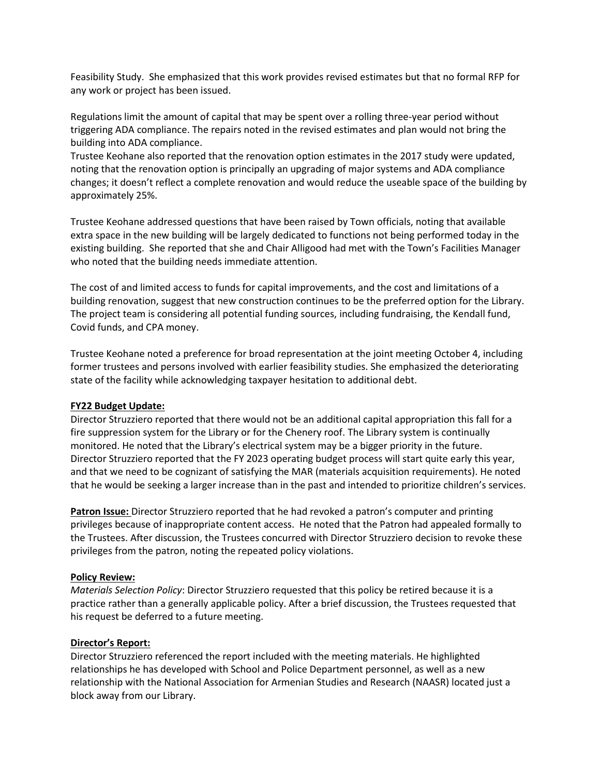Feasibility Study. She emphasized that this work provides revised estimates but that no formal RFP for any work or project has been issued.

Regulations limit the amount of capital that may be spent over a rolling three-year period without triggering ADA compliance. The repairs noted in the revised estimates and plan would not bring the building into ADA compliance.

Trustee Keohane also reported that the renovation option estimates in the 2017 study were updated, noting that the renovation option is principally an upgrading of major systems and ADA compliance changes; it doesn't reflect a complete renovation and would reduce the useable space of the building by approximately 25%.

Trustee Keohane addressed questions that have been raised by Town officials, noting that available extra space in the new building will be largely dedicated to functions not being performed today in the existing building. She reported that she and Chair Alligood had met with the Town's Facilities Manager who noted that the building needs immediate attention.

The cost of and limited access to funds for capital improvements, and the cost and limitations of a building renovation, suggest that new construction continues to be the preferred option for the Library. The project team is considering all potential funding sources, including fundraising, the Kendall fund, Covid funds, and CPA money.

Trustee Keohane noted a preference for broad representation at the joint meeting October 4, including former trustees and persons involved with earlier feasibility studies. She emphasized the deteriorating state of the facility while acknowledging taxpayer hesitation to additional debt.

#### **FY22 Budget Update:**

Director Struzziero reported that there would not be an additional capital appropriation this fall for a fire suppression system for the Library or for the Chenery roof. The Library system is continually monitored. He noted that the Library's electrical system may be a bigger priority in the future. Director Struzziero reported that the FY 2023 operating budget process will start quite early this year, and that we need to be cognizant of satisfying the MAR (materials acquisition requirements). He noted that he would be seeking a larger increase than in the past and intended to prioritize children's services.

**Patron Issue:** Director Struzziero reported that he had revoked a patron's computer and printing privileges because of inappropriate content access. He noted that the Patron had appealed formally to the Trustees. After discussion, the Trustees concurred with Director Struzziero decision to revoke these privileges from the patron, noting the repeated policy violations.

#### **Policy Review:**

*Materials Selection Policy*: Director Struzziero requested that this policy be retired because it is a practice rather than a generally applicable policy. After a brief discussion, the Trustees requested that his request be deferred to a future meeting.

#### **Director's Report:**

Director Struzziero referenced the report included with the meeting materials. He highlighted relationships he has developed with School and Police Department personnel, as well as a new relationship with the National Association for Armenian Studies and Research (NAASR) located just a block away from our Library.